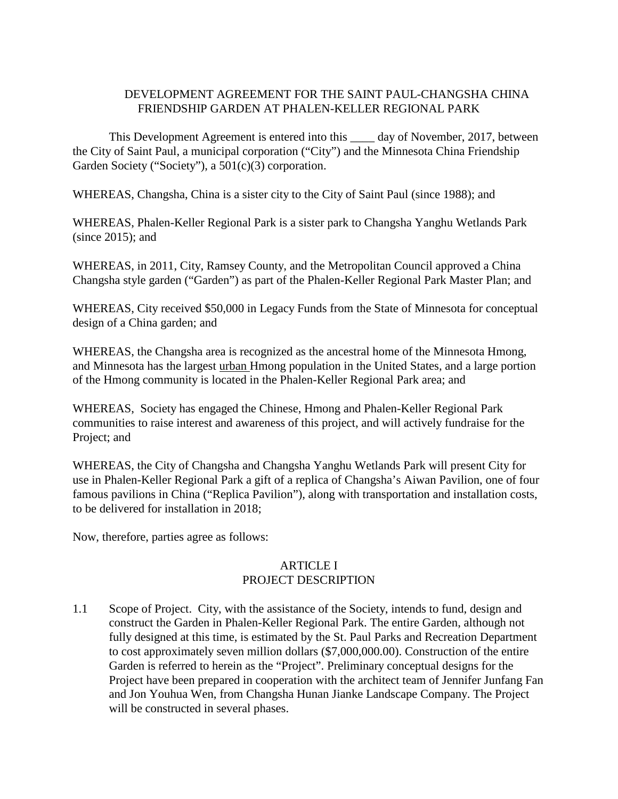## DEVELOPMENT AGREEMENT FOR THE SAINT PAUL-CHANGSHA CHINA FRIENDSHIP GARDEN AT PHALEN-KELLER REGIONAL PARK

This Development Agreement is entered into this \_\_\_\_ day of November, 2017, between the City of Saint Paul, a municipal corporation ("City") and the Minnesota China Friendship Garden Society ("Society"), a  $501(c)(3)$  corporation.

WHEREAS, Changsha, China is a sister city to the City of Saint Paul (since 1988); and

WHEREAS, Phalen-Keller Regional Park is a sister park to Changsha Yanghu Wetlands Park (since 2015); and

WHEREAS, in 2011, City, Ramsey County, and the Metropolitan Council approved a China Changsha style garden ("Garden") as part of the Phalen-Keller Regional Park Master Plan; and

WHEREAS, City received \$50,000 in Legacy Funds from the State of Minnesota for conceptual design of a China garden; and

WHEREAS, the Changsha area is recognized as the ancestral home of the Minnesota Hmong, and Minnesota has the largest urban Hmong population in the United States, and a large portion of the Hmong community is located in the Phalen-Keller Regional Park area; and

WHEREAS, Society has engaged the Chinese, Hmong and Phalen-Keller Regional Park communities to raise interest and awareness of this project, and will actively fundraise for the Project; and

WHEREAS, the City of Changsha and Changsha Yanghu Wetlands Park will present City for use in Phalen-Keller Regional Park a gift of a replica of Changsha's Aiwan Pavilion, one of four famous pavilions in China ("Replica Pavilion"), along with transportation and installation costs, to be delivered for installation in 2018;

Now, therefore, parties agree as follows:

## ARTICLE I PROJECT DESCRIPTION

1.1 Scope of Project. City, with the assistance of the Society, intends to fund, design and construct the Garden in Phalen-Keller Regional Park. The entire Garden, although not fully designed at this time, is estimated by the St. Paul Parks and Recreation Department to cost approximately seven million dollars (\$7,000,000.00). Construction of the entire Garden is referred to herein as the "Project". Preliminary conceptual designs for the Project have been prepared in cooperation with the architect team of Jennifer Junfang Fan and Jon Youhua Wen, from Changsha Hunan Jianke Landscape Company. The Project will be constructed in several phases.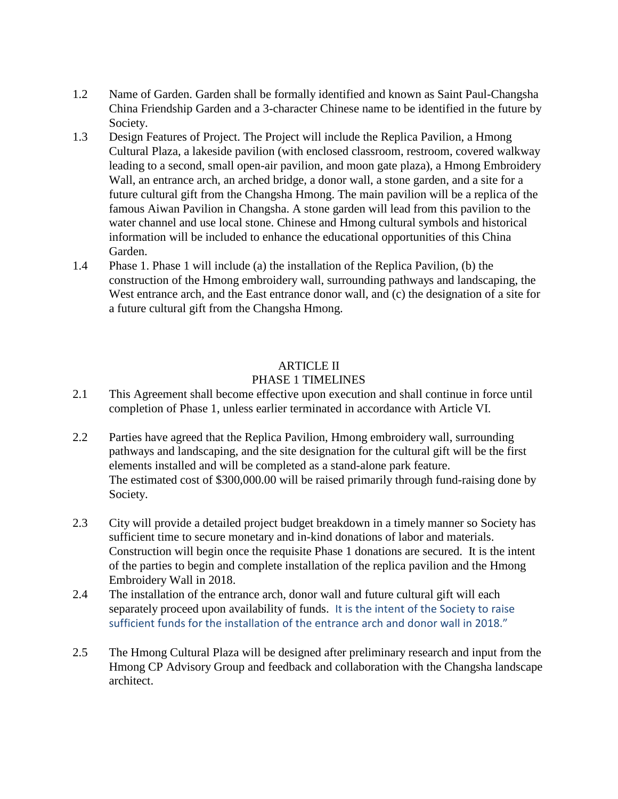- 1.2 Name of Garden. Garden shall be formally identified and known as Saint Paul-Changsha China Friendship Garden and a 3-character Chinese name to be identified in the future by Society.
- 1.3 Design Features of Project. The Project will include the Replica Pavilion, a Hmong Cultural Plaza, a lakeside pavilion (with enclosed classroom, restroom, covered walkway leading to a second, small open-air pavilion, and moon gate plaza), a Hmong Embroidery Wall, an entrance arch, an arched bridge, a donor wall, a stone garden, and a site for a future cultural gift from the Changsha Hmong. The main pavilion will be a replica of the famous Aiwan Pavilion in Changsha. A stone garden will lead from this pavilion to the water channel and use local stone. Chinese and Hmong cultural symbols and historical information will be included to enhance the educational opportunities of this China Garden.
- 1.4 Phase 1. Phase 1 will include (a) the installation of the Replica Pavilion, (b) the construction of the Hmong embroidery wall, surrounding pathways and landscaping, the West entrance arch, and the East entrance donor wall, and (c) the designation of a site for a future cultural gift from the Changsha Hmong.

## ARTICLE II

#### PHASE 1 TIMELINES

- 2.1 This Agreement shall become effective upon execution and shall continue in force until completion of Phase 1, unless earlier terminated in accordance with Article VI.
- 2.2 Parties have agreed that the Replica Pavilion, Hmong embroidery wall, surrounding pathways and landscaping, and the site designation for the cultural gift will be the first elements installed and will be completed as a stand-alone park feature. The estimated cost of \$300,000.00 will be raised primarily through fund-raising done by Society.
- 2.3 City will provide a detailed project budget breakdown in a timely manner so Society has sufficient time to secure monetary and in-kind donations of labor and materials. Construction will begin once the requisite Phase 1 donations are secured. It is the intent of the parties to begin and complete installation of the replica pavilion and the Hmong Embroidery Wall in 2018.
- 2.4 The installation of the entrance arch, donor wall and future cultural gift will each separately proceed upon availability of funds. It is the intent of the Society to raise sufficient funds for the installation of the entrance arch and donor wall in 2018."
- 2.5 The Hmong Cultural Plaza will be designed after preliminary research and input from the Hmong CP Advisory Group and feedback and collaboration with the Changsha landscape architect.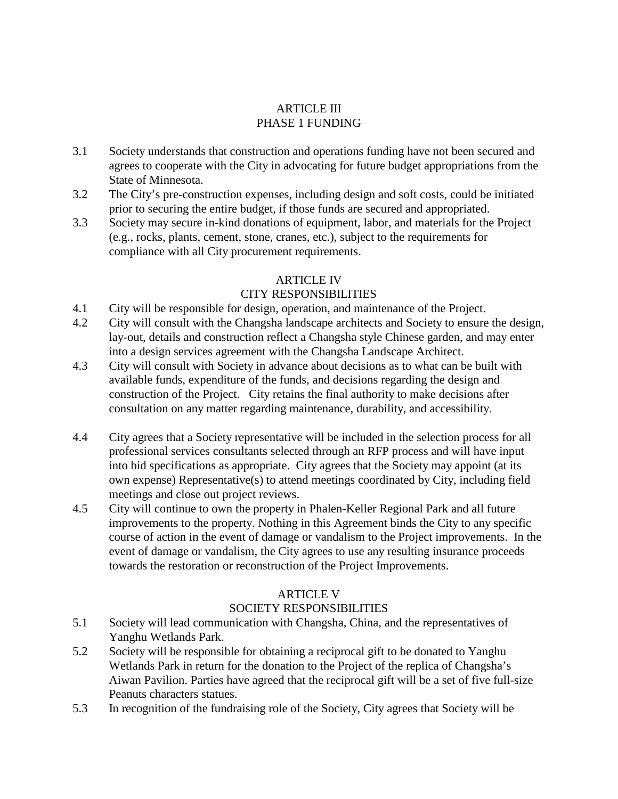# ARTICLE III PHASE 1 FUNDING

- 3.1 Society understands that construction and operations funding have not been secured and agrees to cooperate with the City in advocating for future budget appropriations from the State of Minnesota.
- 3.2 The City's pre-construction expenses, including design and soft costs, could be initiated prior to securing the entire budget, if those funds are secured and appropriated.
- 3.3 Society may secure in-kind donations of equipment, labor, and materials for the Project (e.g., rocks, plants, cement, stone, cranes, etc.), subject to the requirements for compliance with all City procurement requirements.

# **ARTICLE IV**

# CITY RESPONSIBILITIES

- 4.1 City will be responsible for design, operation, and maintenance of the Project.
- 4.2 City will consult with the Changsha landscape architects and Society to ensure the design, lay-out, details and construction reflect a Changsha style Chinese garden, and may enter into a design services agreement with the Changsha Landscape Architect.
- 4.3 City will consult with Society in advance about decisions as to what can be built with available funds, expenditure of the funds, and decisions regarding the design and construction of the Project. City retains the final authority to make decisions after consultation on any matter regarding maintenance, durability, and accessibility.
- 4.4 City agrees that a Society representative will be included in the selection process for all professional services consultants selected through an RFP process and will have input into bid specifications as appropriate. City agrees that the Society may appoint (at its own expense) Representative(s) to attend meetings coordinated by City, including field meetings and close out project reviews.
- 4.5 City will continue to own the property in Phalen-Keller Regional Park and all future improvements to the property. Nothing in this Agreement binds the City to any specific course of action in the event of damage or vandalism to the Project improvements. In the event of damage or vandalism, the City agrees to use any resulting insurance proceeds towards the restoration or reconstruction of the Project Improvements.

# ARTICLE V

# SOCIETY RESPONSIBILITIES

- 5.1 Society will lead communication with Changsha, China, and the representatives of Yanghu Wetlands Park.
- 5.2 Society will be responsible for obtaining a reciprocal gift to be donated to Yanghu Wetlands Park in return for the donation to the Project of the replica of Changsha's Aiwan Pavilion. Parties have agreed that the reciprocal gift will be a set of five full-size Peanuts characters statues.
- 5.3 In recognition of the fundraising role of the Society, City agrees that Society will be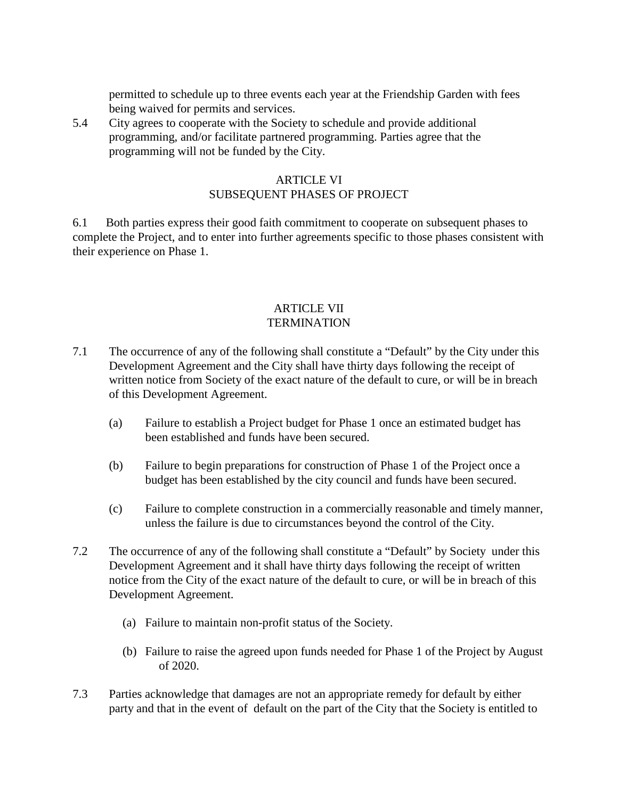permitted to schedule up to three events each year at the Friendship Garden with fees being waived for permits and services.

5.4 City agrees to cooperate with the Society to schedule and provide additional programming, and/or facilitate partnered programming. Parties agree that the programming will not be funded by the City.

## ARTICLE VI SUBSEQUENT PHASES OF PROJECT

6.1 Both parties express their good faith commitment to cooperate on subsequent phases to complete the Project, and to enter into further agreements specific to those phases consistent with their experience on Phase 1.

### ARTICLE VII **TERMINATION**

- 7.1 The occurrence of any of the following shall constitute a "Default" by the City under this Development Agreement and the City shall have thirty days following the receipt of written notice from Society of the exact nature of the default to cure, or will be in breach of this Development Agreement.
	- (a) Failure to establish a Project budget for Phase 1 once an estimated budget has been established and funds have been secured.
	- (b) Failure to begin preparations for construction of Phase 1 of the Project once a budget has been established by the city council and funds have been secured.
	- (c) Failure to complete construction in a commercially reasonable and timely manner, unless the failure is due to circumstances beyond the control of the City.
- 7.2 The occurrence of any of the following shall constitute a "Default" by Society under this Development Agreement and it shall have thirty days following the receipt of written notice from the City of the exact nature of the default to cure, or will be in breach of this Development Agreement.
	- (a) Failure to maintain non-profit status of the Society.
	- (b) Failure to raise the agreed upon funds needed for Phase 1 of the Project by August of 2020.
- 7.3 Parties acknowledge that damages are not an appropriate remedy for default by either party and that in the event of default on the part of the City that the Society is entitled to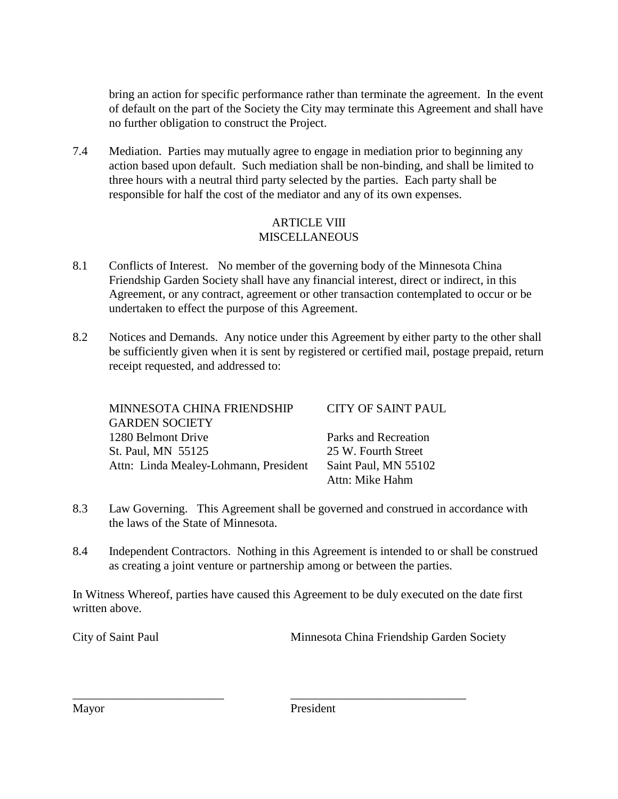bring an action for specific performance rather than terminate the agreement. In the event of default on the part of the Society the City may terminate this Agreement and shall have no further obligation to construct the Project.

7.4 Mediation. Parties may mutually agree to engage in mediation prior to beginning any action based upon default. Such mediation shall be non-binding, and shall be limited to three hours with a neutral third party selected by the parties. Each party shall be responsible for half the cost of the mediator and any of its own expenses.

### ARTICLE VIII **MISCELLANEOUS**

- 8.1 Conflicts of Interest. No member of the governing body of the Minnesota China Friendship Garden Society shall have any financial interest, direct or indirect, in this Agreement, or any contract, agreement or other transaction contemplated to occur or be undertaken to effect the purpose of this Agreement.
- 8.2 Notices and Demands. Any notice under this Agreement by either party to the other shall be sufficiently given when it is sent by registered or certified mail, postage prepaid, return receipt requested, and addressed to:

| MINNESOTA CHINA FRIENDSHIP            | CITY OF SAINT PAUL   |
|---------------------------------------|----------------------|
| <b>GARDEN SOCIETY</b>                 |                      |
| 1280 Belmont Drive                    | Parks and Recreation |
| St. Paul, MN 55125                    | 25 W. Fourth Street  |
| Attn: Linda Mealey-Lohmann, President | Saint Paul, MN 55102 |
|                                       | Attn: Mike Hahm      |

- 8.3 Law Governing. This Agreement shall be governed and construed in accordance with the laws of the State of Minnesota.
- 8.4 Independent Contractors. Nothing in this Agreement is intended to or shall be construed as creating a joint venture or partnership among or between the parties.

In Witness Whereof, parties have caused this Agreement to be duly executed on the date first written above.

City of Saint Paul Minnesota China Friendship Garden Society

Mayor President

\_\_\_\_\_\_\_\_\_\_\_\_\_\_\_\_\_\_\_\_\_\_\_\_\_ \_\_\_\_\_\_\_\_\_\_\_\_\_\_\_\_\_\_\_\_\_\_\_\_\_\_\_\_\_